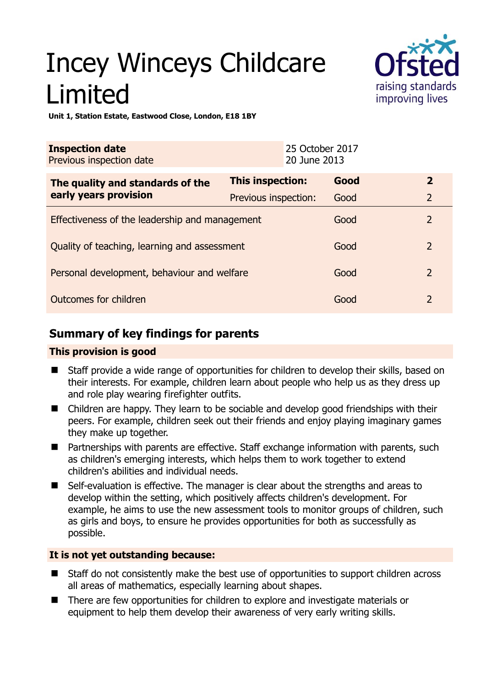# Incey Winceys Childcare Limited



**Unit 1, Station Estate, Eastwood Close, London, E18 1BY** 

| <b>Inspection date</b><br>Previous inspection date        |                         | 25 October 2017<br>20 June 2013 |      |                |
|-----------------------------------------------------------|-------------------------|---------------------------------|------|----------------|
| The quality and standards of the<br>early years provision | <b>This inspection:</b> |                                 | Good | $\overline{2}$ |
|                                                           | Previous inspection:    |                                 | Good | $\overline{2}$ |
| Effectiveness of the leadership and management            |                         |                                 | Good | $\overline{2}$ |
| Quality of teaching, learning and assessment              |                         |                                 | Good | $\overline{2}$ |
| Personal development, behaviour and welfare               |                         |                                 | Good | $\overline{2}$ |
| Outcomes for children                                     |                         |                                 | Good | $\overline{2}$ |

# **Summary of key findings for parents**

## **This provision is good**

- Staff provide a wide range of opportunities for children to develop their skills, based on their interests. For example, children learn about people who help us as they dress up and role play wearing firefighter outfits.
- Children are happy. They learn to be sociable and develop good friendships with their peers. For example, children seek out their friends and enjoy playing imaginary games they make up together.
- Partnerships with parents are effective. Staff exchange information with parents, such as children's emerging interests, which helps them to work together to extend children's abilities and individual needs.
- Self-evaluation is effective. The manager is clear about the strengths and areas to develop within the setting, which positively affects children's development. For example, he aims to use the new assessment tools to monitor groups of children, such as girls and boys, to ensure he provides opportunities for both as successfully as possible.

## **It is not yet outstanding because:**

- Staff do not consistently make the best use of opportunities to support children across all areas of mathematics, especially learning about shapes.
- There are few opportunities for children to explore and investigate materials or equipment to help them develop their awareness of very early writing skills.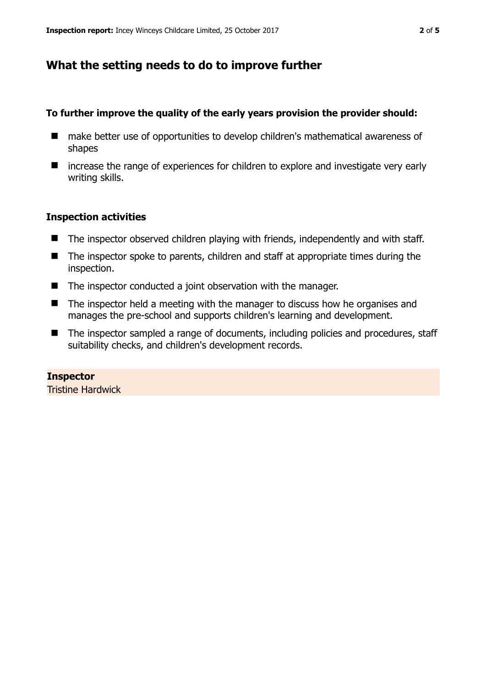# **What the setting needs to do to improve further**

#### **To further improve the quality of the early years provision the provider should:**

- make better use of opportunities to develop children's mathematical awareness of shapes
- increase the range of experiences for children to explore and investigate very early writing skills.

## **Inspection activities**

- The inspector observed children playing with friends, independently and with staff.
- The inspector spoke to parents, children and staff at appropriate times during the inspection.
- The inspector conducted a joint observation with the manager.
- The inspector held a meeting with the manager to discuss how he organises and manages the pre-school and supports children's learning and development.
- The inspector sampled a range of documents, including policies and procedures, staff suitability checks, and children's development records.

## **Inspector**

Tristine Hardwick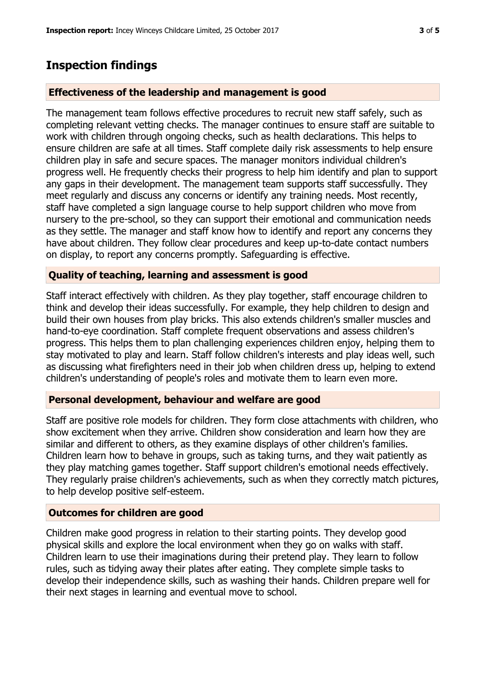## **Inspection findings**

#### **Effectiveness of the leadership and management is good**

The management team follows effective procedures to recruit new staff safely, such as completing relevant vetting checks. The manager continues to ensure staff are suitable to work with children through ongoing checks, such as health declarations. This helps to ensure children are safe at all times. Staff complete daily risk assessments to help ensure children play in safe and secure spaces. The manager monitors individual children's progress well. He frequently checks their progress to help him identify and plan to support any gaps in their development. The management team supports staff successfully. They meet regularly and discuss any concerns or identify any training needs. Most recently, staff have completed a sign language course to help support children who move from nursery to the pre-school, so they can support their emotional and communication needs as they settle. The manager and staff know how to identify and report any concerns they have about children. They follow clear procedures and keep up-to-date contact numbers on display, to report any concerns promptly. Safeguarding is effective.

#### **Quality of teaching, learning and assessment is good**

Staff interact effectively with children. As they play together, staff encourage children to think and develop their ideas successfully. For example, they help children to design and build their own houses from play bricks. This also extends children's smaller muscles and hand-to-eye coordination. Staff complete frequent observations and assess children's progress. This helps them to plan challenging experiences children enjoy, helping them to stay motivated to play and learn. Staff follow children's interests and play ideas well, such as discussing what firefighters need in their job when children dress up, helping to extend children's understanding of people's roles and motivate them to learn even more.

#### **Personal development, behaviour and welfare are good**

Staff are positive role models for children. They form close attachments with children, who show excitement when they arrive. Children show consideration and learn how they are similar and different to others, as they examine displays of other children's families. Children learn how to behave in groups, such as taking turns, and they wait patiently as they play matching games together. Staff support children's emotional needs effectively. They regularly praise children's achievements, such as when they correctly match pictures, to help develop positive self-esteem.

#### **Outcomes for children are good**

Children make good progress in relation to their starting points. They develop good physical skills and explore the local environment when they go on walks with staff. Children learn to use their imaginations during their pretend play. They learn to follow rules, such as tidying away their plates after eating. They complete simple tasks to develop their independence skills, such as washing their hands. Children prepare well for their next stages in learning and eventual move to school.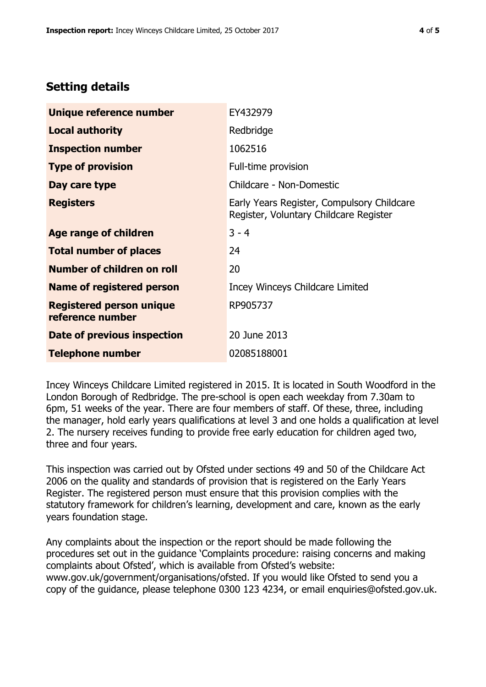# **Setting details**

| Unique reference number                             | EY432979                                                                             |  |  |
|-----------------------------------------------------|--------------------------------------------------------------------------------------|--|--|
| <b>Local authority</b>                              | Redbridge                                                                            |  |  |
| <b>Inspection number</b>                            | 1062516                                                                              |  |  |
| <b>Type of provision</b>                            | Full-time provision                                                                  |  |  |
| Day care type                                       | Childcare - Non-Domestic                                                             |  |  |
| <b>Registers</b>                                    | Early Years Register, Compulsory Childcare<br>Register, Voluntary Childcare Register |  |  |
| Age range of children                               | $3 - 4$                                                                              |  |  |
| <b>Total number of places</b>                       | 24                                                                                   |  |  |
| Number of children on roll                          | 20                                                                                   |  |  |
| Name of registered person                           | Incey Winceys Childcare Limited                                                      |  |  |
| <b>Registered person unique</b><br>reference number | RP905737                                                                             |  |  |
| Date of previous inspection                         | 20 June 2013                                                                         |  |  |
| <b>Telephone number</b>                             | 02085188001                                                                          |  |  |

Incey Winceys Childcare Limited registered in 2015. It is located in South Woodford in the London Borough of Redbridge. The pre-school is open each weekday from 7.30am to 6pm, 51 weeks of the year. There are four members of staff. Of these, three, including the manager, hold early years qualifications at level 3 and one holds a qualification at level 2. The nursery receives funding to provide free early education for children aged two, three and four years.

This inspection was carried out by Ofsted under sections 49 and 50 of the Childcare Act 2006 on the quality and standards of provision that is registered on the Early Years Register. The registered person must ensure that this provision complies with the statutory framework for children's learning, development and care, known as the early years foundation stage.

Any complaints about the inspection or the report should be made following the procedures set out in the guidance 'Complaints procedure: raising concerns and making complaints about Ofsted', which is available from Ofsted's website: www.gov.uk/government/organisations/ofsted. If you would like Ofsted to send you a copy of the guidance, please telephone 0300 123 4234, or email enquiries@ofsted.gov.uk.